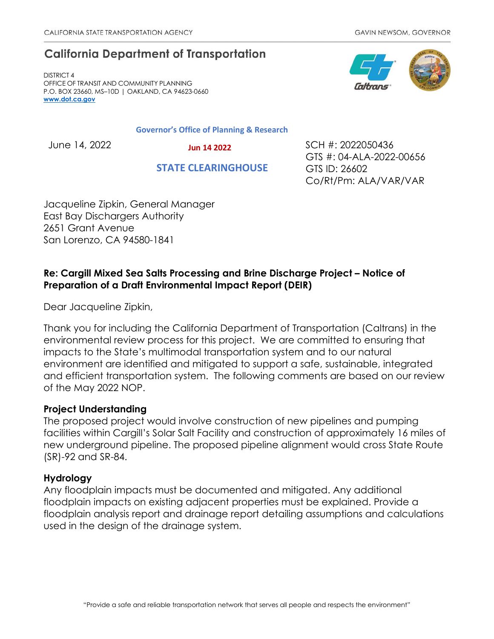# **California Department of Transportation**

DISTRICT 4 OFFICE OF TRANSIT AND COMMUNITY PLANNING P.O. BOX 23660, MS–10D | OAKLAND, CA 94623-0660 **[www.dot.ca.gov](http://www.dot.ca.gov/)**

**Governor's Office of Planning & Research**

 **Jun 14 2022**

 **STATE CLEARINGHOUSE**

June 14, 2022 SCH #: 2022050436 GTS #: 04-ALA-2022-00656 GTS ID: 26602 Co/Rt/Pm: ALA/VAR/VAR

Jacqueline Zipkin, General Manager East Bay Dischargers Authority 2651 Grant Avenue San Lorenzo, CA 94580-1841

## **Re: Cargill Mixed Sea Salts Processing and Brine Discharge Project – Notice of Preparation of a Draft Environmental Impact Report (DEIR)**

Dear Jacqueline Zipkin,

Thank you for including the California Department of Transportation (Caltrans) in the environmental review process for this project. We are committed to ensuring that impacts to the State's multimodal transportation system and to our natural environment are identified and mitigated to support a safe, sustainable, integrated and efficient transportation system. The following comments are based on our review of the May 2022 NOP.

## **Project Understanding**

The proposed project would involve construction of new pipelines and pumping facilities within Cargill's Solar Salt Facility and construction of approximately 16 miles of new underground pipeline. The proposed pipeline alignment would cross State Route (SR)-92 and SR-84.

## **Hydrology**

Any floodplain impacts must be documented and mitigated. Any additional floodplain impacts on existing adjacent properties must be explained. Provide a floodplain analysis report and drainage report detailing assumptions and calculations used in the design of the drainage system.

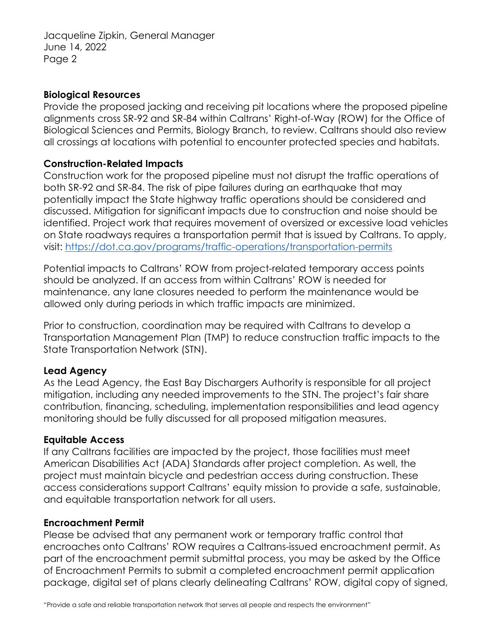Jacqueline Zipkin, General Manager June 14, 2022 Page 2

#### **Biological Resources**

Provide the proposed jacking and receiving pit locations where the proposed pipeline alignments cross SR-92 and SR-84 within Caltrans' Right-of-Way (ROW) for the Office of Biological Sciences and Permits, Biology Branch, to review. Caltrans should also review all crossings at locations with potential to encounter protected species and habitats.

## **Construction-Related Impacts**

Construction work for the proposed pipeline must not disrupt the traffic operations of both SR-92 and SR-84. The risk of pipe failures during an earthquake that may potentially impact the State highway traffic operations should be considered and discussed. Mitigation for significant impacts due to construction and noise should be identified. Project work that requires movement of oversized or excessive load vehicles on State roadways requires a transportation permit that is issued by Caltrans. To apply, visit:<https://dot.ca.gov/programs/traffic-operations/transportation-permits>

Potential impacts to Caltrans' ROW from project-related temporary access points should be analyzed. If an access from within Caltrans' ROW is needed for maintenance, any lane closures needed to perform the maintenance would be allowed only during periods in which traffic impacts are minimized.

Prior to construction, coordination may be required with Caltrans to develop a Transportation Management Plan (TMP) to reduce construction traffic impacts to the State Transportation Network (STN).

## **Lead Agency**

As the Lead Agency, the East Bay Dischargers Authority is responsible for all project mitigation, including any needed improvements to the STN. The project's fair share contribution, financing, scheduling, implementation responsibilities and lead agency monitoring should be fully discussed for all proposed mitigation measures.

#### **Equitable Access**

If any Caltrans facilities are impacted by the project, those facilities must meet American Disabilities Act (ADA) Standards after project completion. As well, the project must maintain bicycle and pedestrian access during construction. These access considerations support Caltrans' equity mission to provide a safe, sustainable, and equitable transportation network for all users.

#### **Encroachment Permit**

Please be advised that any permanent work or temporary traffic control that encroaches onto Caltrans' ROW requires a Caltrans-issued encroachment permit. As part of the encroachment permit submittal process, you may be asked by the Office of Encroachment Permits to submit a completed encroachment permit application package, digital set of plans clearly delineating Caltrans' ROW, digital copy of signed,